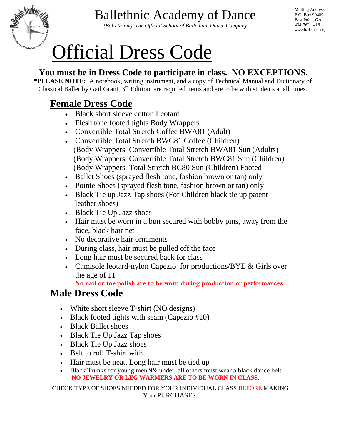

*(Bal-eth-nik) The Official School of Ballethnic Dance Company*

Mailing Address P.O. Box 90489 East Point, GA 404-762-1416 www.ballethnic.org

# Official Dress Code

#### **You must be in Dress Code to participate in class. NO EXCEPTIONS.**

**\*PLEASE NOTE:** A notebook, writing instrument, and a copy of Technical Manual and Dictionary of Classical Ballet by Gail Grant, 3<sup>rd</sup> Edition are required items and are to be with students at all times.

## **Female Dress Code**

- Black short sleeve cotton Leotard
- Flesh tone footed tights Body Wrappers
- Convertible Total Stretch Coffee BWA81 (Adult)
- Convertible Total Stretch BWC81 Coffee (Children) (Body Wrappers Convertible Total Stretch BWA81 Sun (Adults) (Body Wrappers Convertible Total Stretch BWC81 Sun (Children) (Body Wrappers Total Stretch BC80 Sun (Children) Footed
- Ballet Shoes (sprayed flesh tone, fashion brown or tan) only
- Pointe Shoes (sprayed flesh tone, fashion brown or tan) only
- Black Tie up Jazz Tap shoes (For Children black tie up patent leather shoes)
- Black Tie Up Jazz shoes
- Hair must be worn in a bun secured with bobby pins, away from the face, black hair net
- No decorative hair ornaments
- During class, hair must be pulled off the face
- Long hair must be secured back for class
- Camisole leotard-nylon Capezio for productions/BYE & Girls over the age of 11

 **No nail or toe polish are to be worn during production or performances**

## **Male Dress Code**

- White short sleeve T-shirt (NO designs)
- Black footed tights with seam (Capezio #10)
- Black Ballet shoes
- Black Tie Up Jazz Tap shoes
- Black Tie Up Jazz shoes
- Belt to roll T-shirt with
- Hair must be neat. Long hair must be tied up
- Black Trunks for young men 9& under, all others must wear a black dance belt **NO JEWELRY OR LEG WARMERS ARE TO BE WORN IN CLASS**.

CHECK TYPE OF SHOES NEEDED FOR YOUR INDIVIDUAL CLASS BEFORE MAKING Your PURCHASES.